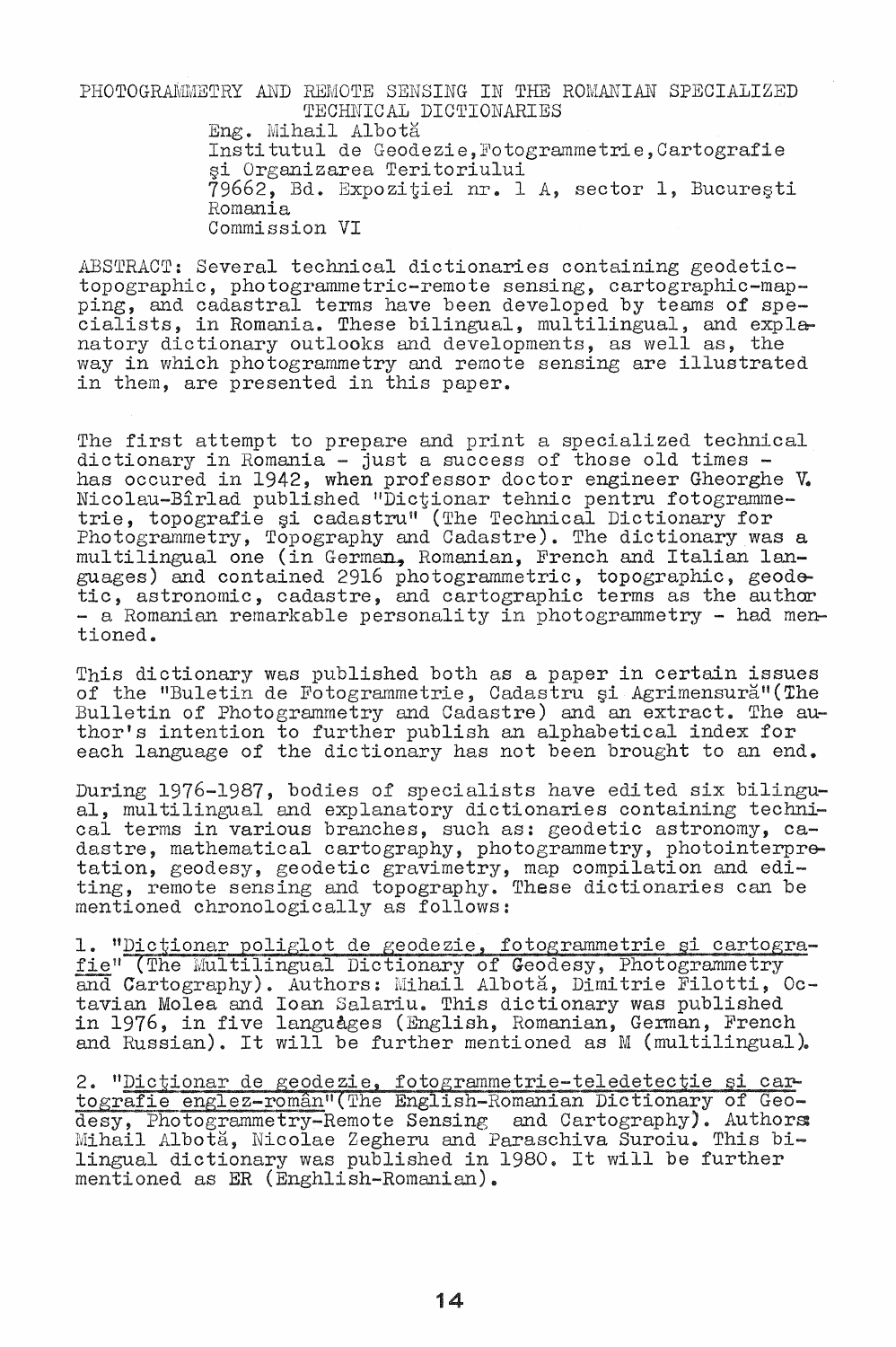PHOTOGRAMMETRY AND REMOTE SENSING IN THE ROMANIAN SPECIALIZED TECHNICAL DICTIONARIES Eng. Mihail Albotă Institutul de Geodezie, Fotogrammetrie, Cartografie ~i Organizarea Teritoriului 79662, Bd. Expozitiei nr. 1 A, sector 1, București Homania Commission VI

ABSTRACT: Several technical dictionaries containing geodetic-<br>topographic, photogrammetric-remote sensing, cartographic-map-<br>ping, and cadastral terms have been developed by teams of specialists, in Romania. These bilingual, multilingual, and explanatory dictionary outlooks and developments, as well as, the way in which photogrammetry and remote sensing are illustrated in them, are presented in this paper.

The first attempt to prepare and print a specialized technical<br>dictionary in Romania - just a success of those old times has occured in 1942, when professor doctor engineer Gheorghe V. Nicolau-Bîrlad published "Dictionar tehnic pentru fotogrammetrie, topografie și cadastru" (The Technical Dictionary for Photogrammetry, Topography and Cadastre). The dictionary was a multilingual one (in German, Romanian, French and Italian languages) and contained 2916 photogrammetric, topographic, geodetic, astronomic, cadastre, and cartographic terms as the author - a Romanian remarkable personali ty in photogrammetry - had mentioned.

This dictionary was published both as a paper in certain issues of the "Buletin de Fotogrammetrie, Cadastru și Agrimensură"(The Bulletin of Photogrammetry and Cadastre) and an extract. The author's intention to further publish an alphabetical index for each language of the dictionary has not been brought to an end.

During 1976-1987, bodies of specialists have edited six bilingu- al, multilingual and explanatory dictionaries containing technical terms in various branches, such as: geodetic astronomy, cadastre, mathematical cartography, photogrammetry, photointerpretation, geodesy, geodetic gravimetry, map compilation and editing, remote sensing and topography. These dictionaries can be mentioned chronologically as follows:

1. "Dictionar poliglot de geodezie, fotogrammetrie și cartografie" (The Multilingual Dictionary of Geodesy, Photogrammetry and Cartography). Authors: Mihail Albota, Dimitrie Filotti, Octavian Molea and Ioan Salariu. This dictionary was published in 1976, in five languages (English, Romanian, German, French and Russian). It will be further mentioned as  $M$  (multilingual).

2. "Dictionar de geodezie, fotogrammetrie-teledetectie și cartografie englez-român" (The English-Romanian Dictionary of Geodesy, Photogrammetry-Remote Sensing and Cartography). Authors: Mihail Albota, Nicolae Zegheru and Paraschiva Suroiu. This bilingual dictionary was published in 1980. It will be further mentioned as  $ER$  (Enghlish-Romanian).

14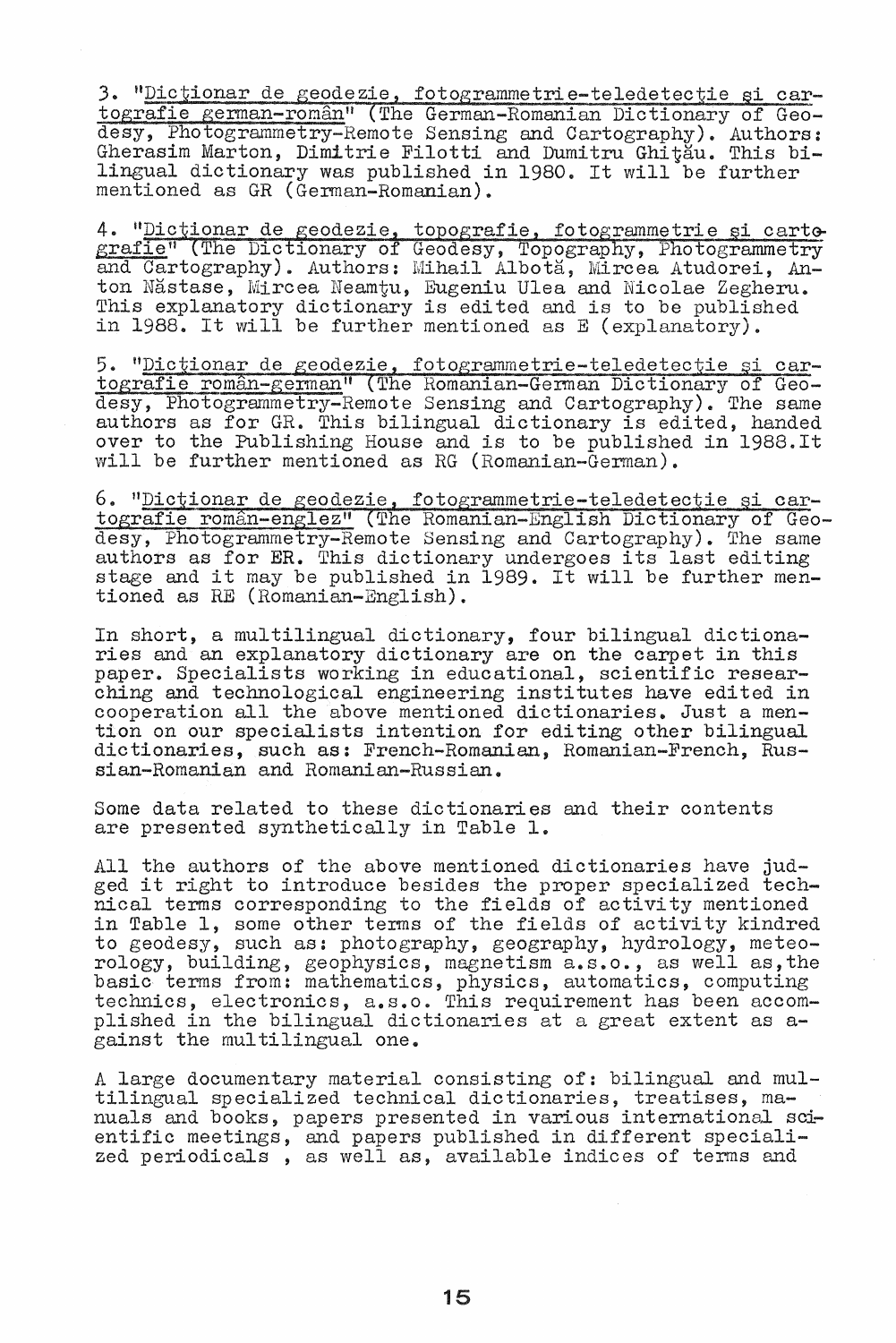3. "Dictionar de geodezie, fotogrammetrie-teledetectie si cartografie german-român" (The German-Romanian Dictionary of Geodesy, Photogrammetry-Remote Sensing and Cartography). Authors: Gherasim Marton, Dimitrie Filotti and Dumitru Ghitau. This bilingual dictionary was published in 1980. It will be further mentioned as GR (German-Romanian).

4. "Dictionar de geodezie, topografie, fotogrammetrie si cartografie" (The Dictionary of Geodesy, Topography, Photogrammetry and Cartography). Authors: Mihail Albota, Mircea Atudorei, Anton Năstase, Mircea Neamtu, Eugeniu Ulea and Nicolae Zegheru. This explanatory dictionary is edited and is to be published in 1988. It will be further mentioned as E (explanatory).

5. "Dictionar de geodezie, fotogrammetrie-teledetecție și cartografie român-german" (The Romanian-German Dictionary of Geodesy, Photogrammetry-Remote Sensing and Cartography). The same authors as for GR. This bilingual dictionary is edited, handed over to the Publishing House and is to be published in 1988.It will be further mentioned as RG (Romanian-German).

6. "Dictionar de geodezie, fotogrammetrie-teledetectie si cartografie român-englez" (The Romanian-English Dictionary of Geodesy, Photogrammetry-Remote Sensing and Cartography). The same authors as for ER. This dictionary undergoes its last editing stage and it may be published in 1989. It will be further mentioned as RE (Romanian-English).

In short, a multilingual dictionary, four bilingual dictionaries and an explanatory dictionary are on the carpet in this paper. Specialists working in educational, scientific researching and technological engineering institutes have edited in cooperation all the above mentioned dictionaries. Just a mention on our specialists intention for editing other bilingual dictionaries, such as: French-Romanian, Romanian-French, Russian-Romanian and Romanian-Russian.

Some data related to these dictionaries and their contents are presented synthetically in Table 1.

All the authors of the above mentioned dictionaries have jud-<br>ged it right to introduce besides the proper specialized technical terms corresponding to the fields of activity mentioned in Table 1, some other terms of the fields of activity kindred to geodesy, such as: photography, geography, hydrology, meteorology, building, geophysics, magnetism a.s.o., as well as,the basic terms from: mathematics, physics, automatics, computing technics, electronics, a.s.o. This requirement has been accomplished in the bilingual dictionaries at a great extent as against the multilingual one.

A large documentary material consisting of: bilingual and multilingual specialized technical dictionaries, treatises, maoffingaal specialized committed aroutenation, creatises, makingaal scientific meetings, and papers published in different specialized periodicals , as well as, available indices of terms and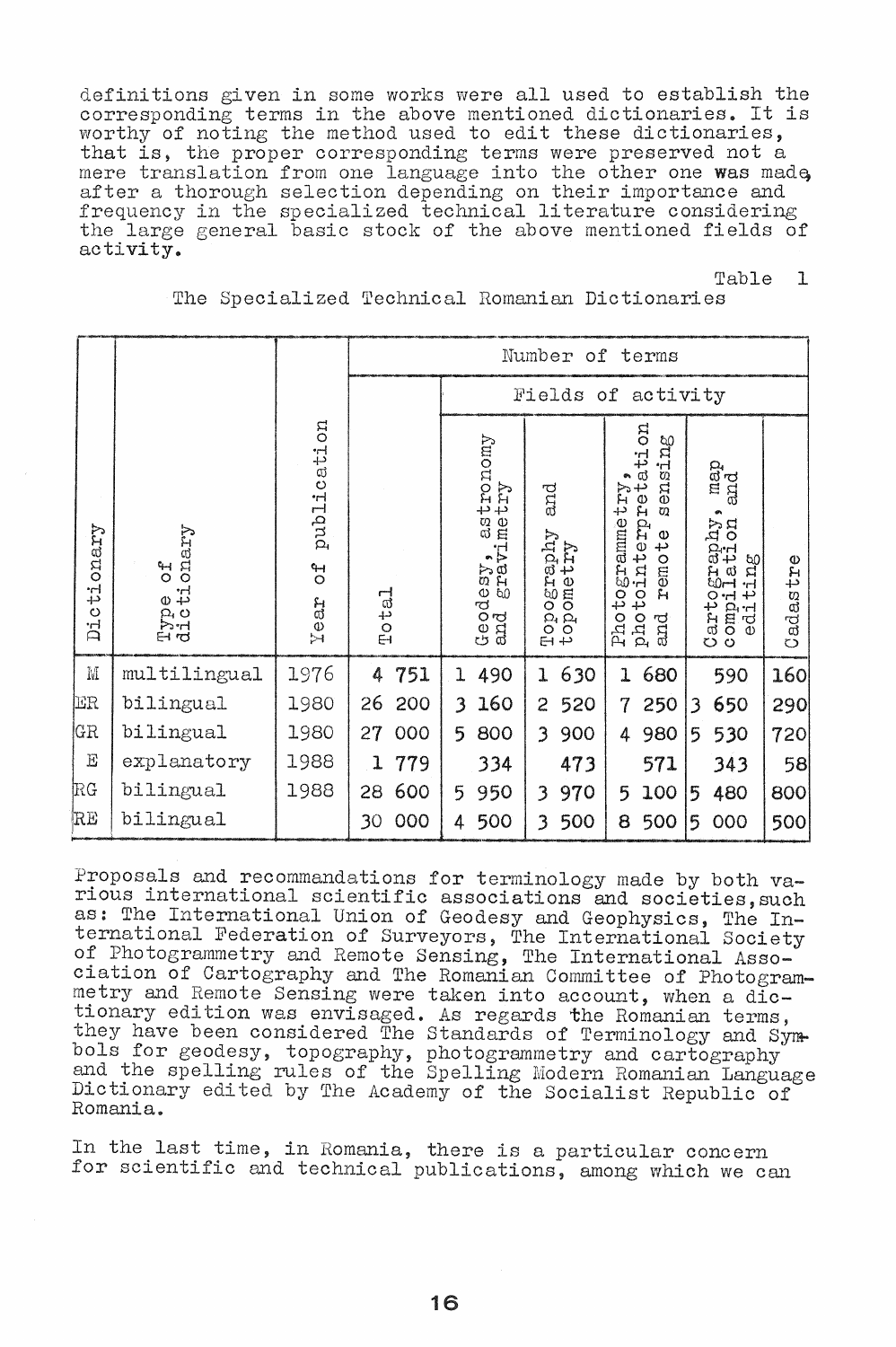definitions given in some works were all used to establish the corresponding terms in the above mentioned dictionaries. It is worthy of noting the method used to edit these dictionaries, that is, the proper corresponding terms were preserved not a mere translation from one language into the other one was made, after a thorough selection depending on their importance and frequency in the specialized technical literature considering the large general basic stock of the above mentioned fields of activity.

> Table  $\mathbf{1}$

| The Specialized Technical Romanian Dictionaries |  |  |  |  |  |
|-------------------------------------------------|--|--|--|--|--|
|-------------------------------------------------|--|--|--|--|--|

|                             |                                                      |                                     | Number of terms |                                      |                                |                                                                                                            |                                                                                                                                              |              |  |
|-----------------------------|------------------------------------------------------|-------------------------------------|-----------------|--------------------------------------|--------------------------------|------------------------------------------------------------------------------------------------------------|----------------------------------------------------------------------------------------------------------------------------------------------|--------------|--|
|                             |                                                      |                                     |                 | Fields of activity                   |                                |                                                                                                            |                                                                                                                                              |              |  |
| tionary<br>Dic <sup>.</sup> | onary<br>$\frac{4}{5}$<br>ታ ታ<br>$\wp$<br><b>Pri</b> | mo<br>publicati<br>$\sigma$<br>Tear | Total           | Geodesy, astronomy<br>and gravimetry | and<br>Topography<br>topometry | go<br>ensing<br>tati<br>Photogrammetry<br>photointerpre<br>$\omega$<br>Φ<br>45<br>remo <sup>-</sup><br>and | map<br>and<br>norn<br>Aqde.<br>ದಿ೦<br>$\omega$<br>A<br>H<br><b>50H</b><br>٠H<br>42<br>O<br>$-1$<br>omp:<br>edi<br>Cart <sub>o</sub><br>comp: | adastre<br>Ö |  |
| $\mathbb M$                 | multilingual                                         | 1976                                | 751<br>4        | 490<br>ı                             | 630<br>$\mathbf{I}$            | 680<br>$\mathbf{I}$                                                                                        | 590                                                                                                                                          | 160          |  |
| ER                          | bilingual                                            | 1980                                | 26<br>200       | 160<br>3                             | 520<br>$\overline{2}$          | 250<br>$\overline{7}$                                                                                      | 650<br>3                                                                                                                                     | 290          |  |
| GR                          | bilingual                                            | 1980                                | 27<br>000       | 800<br>5                             | 900<br>3                       | 980<br>4                                                                                                   | 530<br>5                                                                                                                                     | 720          |  |
| $\rm E$                     | explanatory                                          | 1988                                | 779<br>1        | 334                                  | 473                            | 571                                                                                                        | 343                                                                                                                                          | 58           |  |
| $_{\rm RG}$                 | bilingual                                            | 1988                                | 600<br>28       | 950<br>5                             | 970<br>3                       | 100<br>5                                                                                                   | 480<br>5                                                                                                                                     | 800          |  |
| RE                          | bilingual                                            |                                     | 000<br>30       | 500<br>4                             | 500<br>3                       | 500<br>8                                                                                                   | 000<br>5                                                                                                                                     | 500          |  |

Proposals and recommandations for terminology made by both various international scientific associations and societies, such as: The International Union of Geodesy and Geophysics, The International Federation of Surveyors, The International Society<br>of Photogrammetry and Remote Sensing, The International Association of Cartography and The Romanian Committee of Photogrammetry and Remote Sensing were taken into account, when a dictionary edition was envisaged. As regards the Romanian terms, they have been considered The Standards of Terminology and Symbols for geodesy, topography, photogrammetry and cartography and the spelling rules of the Spelling Modern Romanian Language Dictionary edited by The Academy of the Socialist Republic of Romania.

In the last time, in Romania, there is a particular concern for scientific and technical publications, among which we can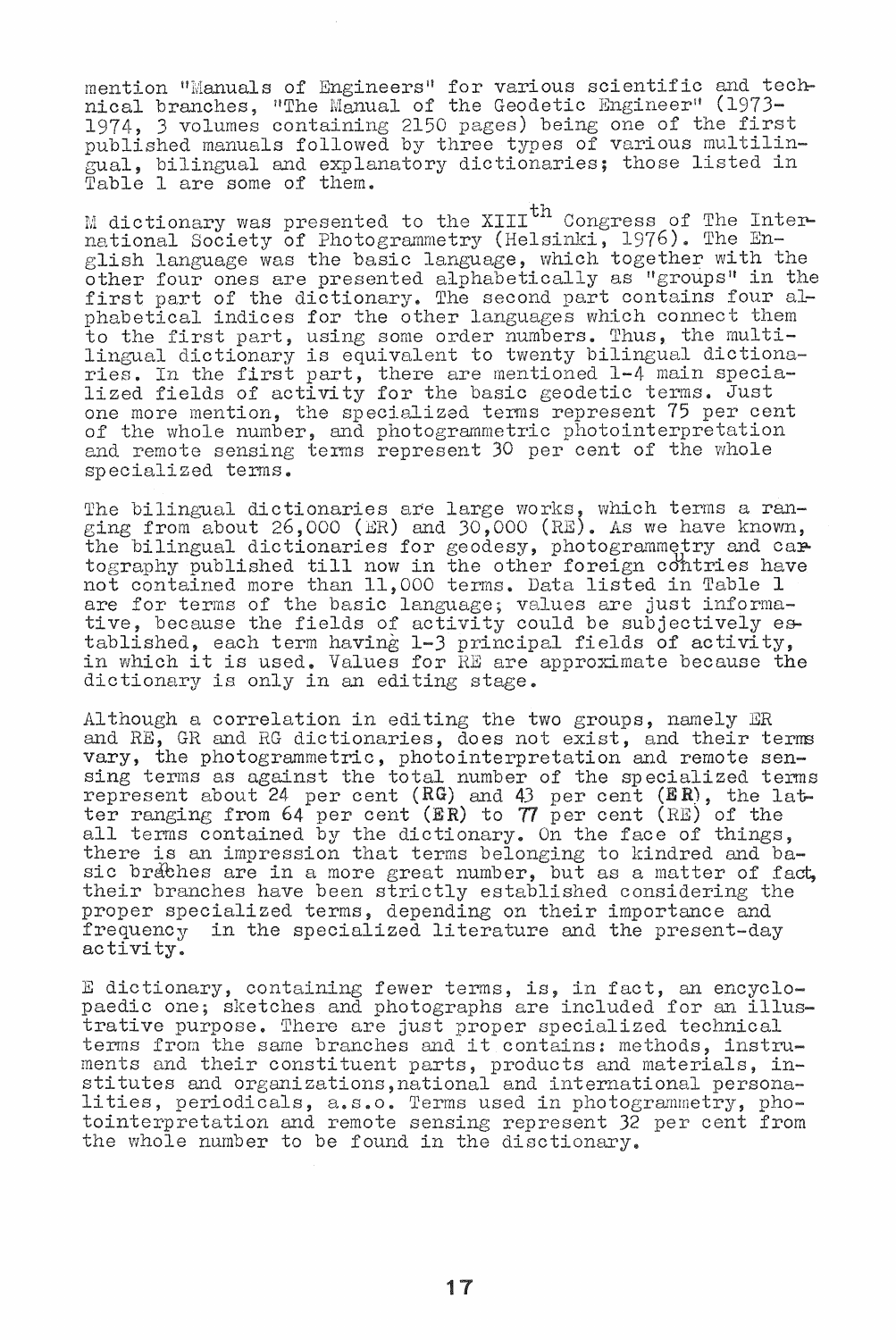mention "Manuals of Engineers" for various scientific and technical branches, "The Manual of the Geodetic Engineer" (1973-1974, 3 volumes containing 2150 pages) being one of the first published manuals followed by three types of various multilingual, bilingual and explanatory dictionaries; those listed in Table 1 are some of them.

M dictionary was presented to the XIII<sup>th</sup> Congress of The Intermational Society of Photogrammetry (Helsinki, 1976). The English language was the basic language, which together with the other four ones are presented alphabetically as "groups" in the other four ones are presented arphabetrcarry as groups in phabetical indices for the other languages which connect them to the first part, using some order numbers. Thus, the multilingual dictionary is equivalent to twenty bilingual dictionaringual dictromary is equivalent to twenty billingual dictromateurs. lized fields of activity for the basic geodetic terms. Just one more mention, the specialized terms represent 75 per cent of the whole number, and photogrammetric photointerpretation and remote sensing terms represent 30 per cent of the whole specialized terms.

The bilingual dictionaries are large works, which terms a ranging from about  $26,000$  (ER) and  $30,000$  (RE). As we have known, the bilingual dictionaries for geodesy, photogrammetry and cartography published till now in the other foreign cdhtries have not contained more than 11,000 terms. Data listed in Table 1 are for terms of the basic language; values are just informative, because the fields of activity could be subjectively established, each term having 1-3 principal fields of activity, in which it is used. Values for RE are approximate because the dictionary is only in an editing stage.

Although a correlation in editing the two groups, namely ER and RE, GR and RG dictionaries, does not exist, and their terms vary, the photogrammetric, photointerpretation and remote sensing terms as against the total number of the sp ecialized terms represent about  $24$  per cent  $(RG)$  and  $43$  per cent  $(RR)$ , the latter ranging from  $64$  per cent  $(RR)$  to  $77$  per cent  $(RE)$  of the een ranging from 54 per cent (an) to  $\eta$  per cent (ha) or the sall terms contained by the dictionary. On the face of things, there is an impression that terms belonging to kindred and basic braches are in a more great number, but as a matter of fact, their branches have been strictly established considering the proper specialized terms, depending on their importance and frequency in the specialized literature and the present-day activity.

E dictionary, containing fewer terms, is, in fact, an encyclo-<br>paedic one; sketches and photographs are included for an illuspactive purpose. There are just proper specialized technical<br>terms from the same branches and it contains: methods, instru-<br>ments and their constituent parts, products and materials, inments and their constituent parts, products and materials, in-<br>stitutes and organizations,national and international personalities, periodicals, a.s.o. Terms used in photogrammetry, photointerpretation and remote sensing represent 32 per cent from the whole number to be found in the disctionary.